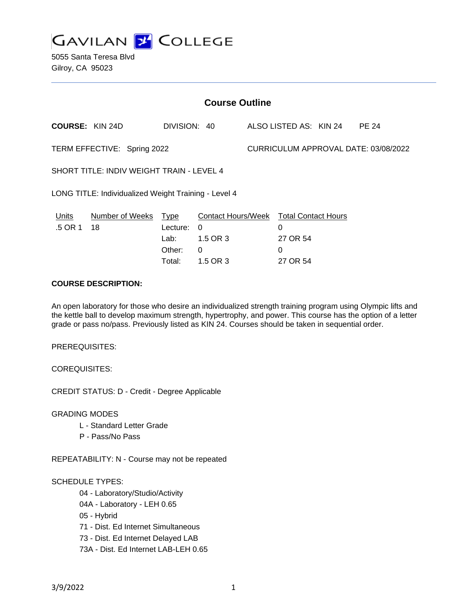**GAVILAN Z COLLEGE** 

5055 Santa Teresa Blvd Gilroy, CA 95023

| <b>Course Outline</b>                                |                       |                                              |                                                                           |                                      |                                                              |  |              |
|------------------------------------------------------|-----------------------|----------------------------------------------|---------------------------------------------------------------------------|--------------------------------------|--------------------------------------------------------------|--|--------------|
| <b>COURSE: KIN 24D</b>                               |                       | DIVISION: 40                                 |                                                                           |                                      | ALSO LISTED AS: KIN 24                                       |  | <b>PE 24</b> |
| TERM EFFECTIVE: Spring 2022                          |                       |                                              |                                                                           | CURRICULUM APPROVAL DATE: 03/08/2022 |                                                              |  |              |
| SHORT TITLE: INDIV WEIGHT TRAIN - LEVEL 4            |                       |                                              |                                                                           |                                      |                                                              |  |              |
| LONG TITLE: Individualized Weight Training - Level 4 |                       |                                              |                                                                           |                                      |                                                              |  |              |
| Units<br>.5 OR 1                                     | Number of Weeks<br>18 | Type<br>Lecture:<br>Lab:<br>Other:<br>Total: | <b>Contact Hours/Week</b><br>$\Omega$<br>1.5 OR 3<br>$\Omega$<br>1.5 OR 3 |                                      | <b>Total Contact Hours</b><br>0<br>27 OR 54<br>0<br>27 OR 54 |  |              |

# **COURSE DESCRIPTION:**

An open laboratory for those who desire an individualized strength training program using Olympic lifts and the kettle ball to develop maximum strength, hypertrophy, and power. This course has the option of a letter grade or pass no/pass. Previously listed as KIN 24. Courses should be taken in sequential order.

PREREQUISITES:

COREQUISITES:

CREDIT STATUS: D - Credit - Degree Applicable

GRADING MODES

- L Standard Letter Grade
- P Pass/No Pass

REPEATABILITY: N - Course may not be repeated

# SCHEDULE TYPES:

04 - Laboratory/Studio/Activity

- 04A Laboratory LEH 0.65
- 05 Hybrid

71 - Dist. Ed Internet Simultaneous

- 73 Dist. Ed Internet Delayed LAB
- 73A Dist. Ed Internet LAB-LEH 0.65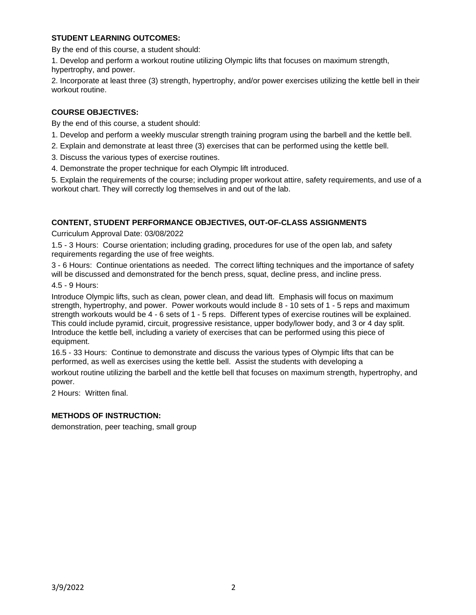# **STUDENT LEARNING OUTCOMES:**

By the end of this course, a student should:

1. Develop and perform a workout routine utilizing Olympic lifts that focuses on maximum strength, hypertrophy, and power.

2. Incorporate at least three (3) strength, hypertrophy, and/or power exercises utilizing the kettle bell in their workout routine.

# **COURSE OBJECTIVES:**

By the end of this course, a student should:

- 1. Develop and perform a weekly muscular strength training program using the barbell and the kettle bell.
- 2. Explain and demonstrate at least three (3) exercises that can be performed using the kettle bell.
- 3. Discuss the various types of exercise routines.
- 4. Demonstrate the proper technique for each Olympic lift introduced.

5. Explain the requirements of the course; including proper workout attire, safety requirements, and use of a workout chart. They will correctly log themselves in and out of the lab.

# **CONTENT, STUDENT PERFORMANCE OBJECTIVES, OUT-OF-CLASS ASSIGNMENTS**

Curriculum Approval Date: 03/08/2022

1.5 - 3 Hours: Course orientation; including grading, procedures for use of the open lab, and safety requirements regarding the use of free weights.

3 - 6 Hours: Continue orientations as needed. The correct lifting techniques and the importance of safety will be discussed and demonstrated for the bench press, squat, decline press, and incline press.

#### 4.5 - 9 Hours:

Introduce Olympic lifts, such as clean, power clean, and dead lift. Emphasis will focus on maximum strength, hypertrophy, and power. Power workouts would include 8 - 10 sets of 1 - 5 reps and maximum strength workouts would be 4 - 6 sets of 1 - 5 reps. Different types of exercise routines will be explained. This could include pyramid, circuit, progressive resistance, upper body/lower body, and 3 or 4 day split. Introduce the kettle bell, including a variety of exercises that can be performed using this piece of equipment.

16.5 - 33 Hours: Continue to demonstrate and discuss the various types of Olympic lifts that can be performed, as well as exercises using the kettle bell. Assist the students with developing a

workout routine utilizing the barbell and the kettle bell that focuses on maximum strength, hypertrophy, and power.

2 Hours: Written final.

# **METHODS OF INSTRUCTION:**

demonstration, peer teaching, small group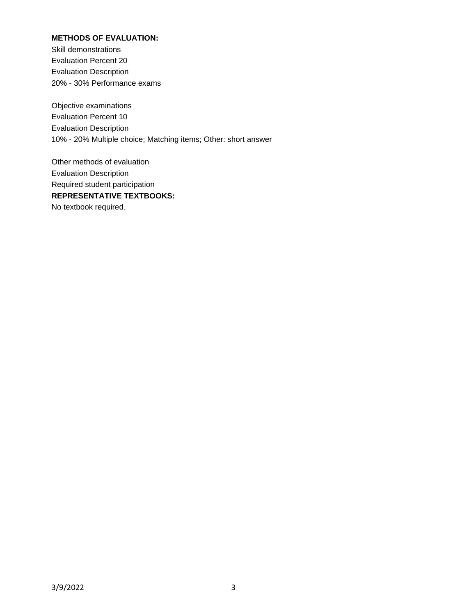# **METHODS OF EVALUATION:**

Skill demonstrations Evaluation Percent 20 Evaluation Description 20% - 30% Performance exams

Objective examinations Evaluation Percent 10 Evaluation Description 10% - 20% Multiple choice; Matching items; Other: short answer

Other methods of evaluation Evaluation Description Required student participation **REPRESENTATIVE TEXTBOOKS:** No textbook required.